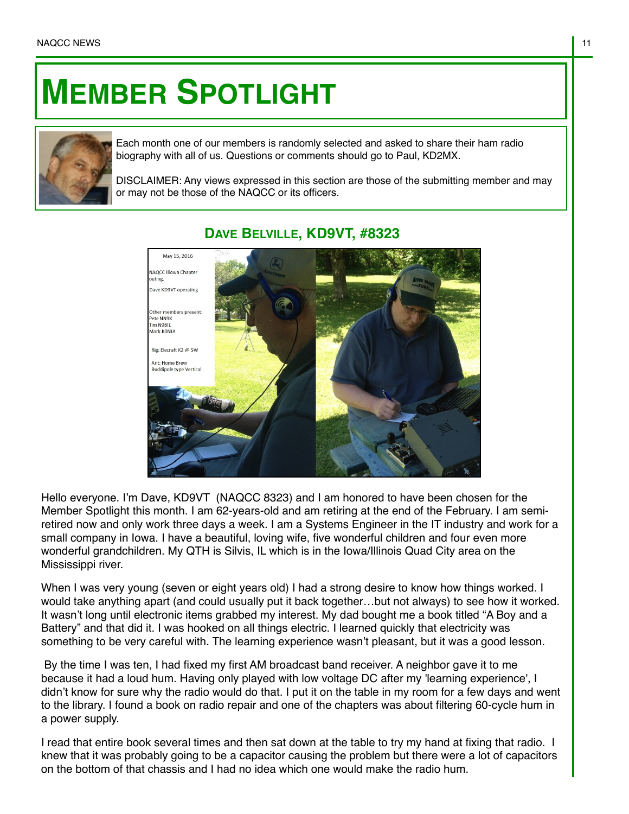## **MEMBER SPOTLIGHT**



Each month one of our members is randomly selected and asked to share their ham radio biography with all of us. Questions or comments should go to Paul, KD2MX.

DISCLAIMER: Any views expressed in this section are those of the submitting member and may or may not be those of the NAQCC or its officers.



## **DAVE BELVILLE, KD9VT, #8323**

Hello everyone. I'm Dave, KD9VT (NAQCC 8323) and I am honored to have been chosen for the Member Spotlight this month. I am 62-years-old and am retiring at the end of the February. I am semiretired now and only work three days a week. I am a Systems Engineer in the IT industry and work for a small company in Iowa. I have a beautiful, loving wife, five wonderful children and four even more wonderful grandchildren. My QTH is Silvis, IL which is in the Iowa/Illinois Quad City area on the Mississippi river.

When I was very young (seven or eight years old) I had a strong desire to know how things worked. I would take anything apart (and could usually put it back together…but not always) to see how it worked. It wasn't long until electronic items grabbed my interest. My dad bought me a book titled "A Boy and a Battery" and that did it. I was hooked on all things electric. I learned quickly that electricity was something to be very careful with. The learning experience wasn't pleasant, but it was a good lesson.

 By the time I was ten, I had fixed my first AM broadcast band receiver. A neighbor gave it to me because it had a loud hum. Having only played with low voltage DC after my 'learning experience', I didn't know for sure why the radio would do that. I put it on the table in my room for a few days and went to the library. I found a book on radio repair and one of the chapters was about filtering 60-cycle hum in a power supply.

I read that entire book several times and then sat down at the table to try my hand at fixing that radio. I knew that it was probably going to be a capacitor causing the problem but there were a lot of capacitors on the bottom of that chassis and I had no idea which one would make the radio hum.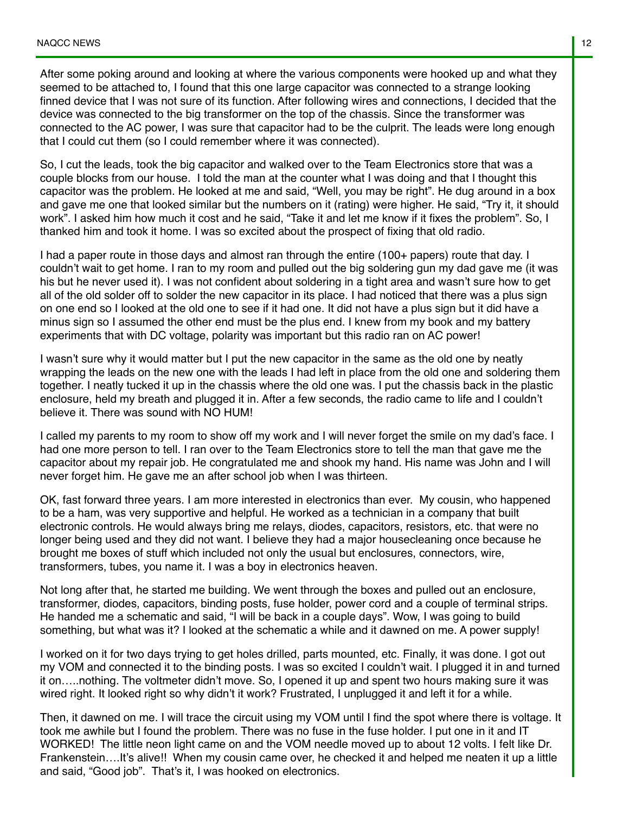After some poking around and looking at where the various components were hooked up and what they seemed to be attached to, I found that this one large capacitor was connected to a strange looking finned device that I was not sure of its function. After following wires and connections, I decided that the device was connected to the big transformer on the top of the chassis. Since the transformer was connected to the AC power, I was sure that capacitor had to be the culprit. The leads were long enough that I could cut them (so I could remember where it was connected).

So, I cut the leads, took the big capacitor and walked over to the Team Electronics store that was a couple blocks from our house. I told the man at the counter what I was doing and that I thought this capacitor was the problem. He looked at me and said, "Well, you may be right". He dug around in a box and gave me one that looked similar but the numbers on it (rating) were higher. He said, "Try it, it should work". I asked him how much it cost and he said, "Take it and let me know if it fixes the problem". So, I thanked him and took it home. I was so excited about the prospect of fixing that old radio.

I had a paper route in those days and almost ran through the entire (100+ papers) route that day. I couldn't wait to get home. I ran to my room and pulled out the big soldering gun my dad gave me (it was his but he never used it). I was not confident about soldering in a tight area and wasn't sure how to get all of the old solder off to solder the new capacitor in its place. I had noticed that there was a plus sign on one end so I looked at the old one to see if it had one. It did not have a plus sign but it did have a minus sign so I assumed the other end must be the plus end. I knew from my book and my battery experiments that with DC voltage, polarity was important but this radio ran on AC power!

I wasn't sure why it would matter but I put the new capacitor in the same as the old one by neatly wrapping the leads on the new one with the leads I had left in place from the old one and soldering them together. I neatly tucked it up in the chassis where the old one was. I put the chassis back in the plastic enclosure, held my breath and plugged it in. After a few seconds, the radio came to life and I couldn't believe it. There was sound with NO HUM!

I called my parents to my room to show off my work and I will never forget the smile on my dad's face. I had one more person to tell. I ran over to the Team Electronics store to tell the man that gave me the capacitor about my repair job. He congratulated me and shook my hand. His name was John and I will never forget him. He gave me an after school job when I was thirteen.

OK, fast forward three years. I am more interested in electronics than ever. My cousin, who happened to be a ham, was very supportive and helpful. He worked as a technician in a company that built electronic controls. He would always bring me relays, diodes, capacitors, resistors, etc. that were no longer being used and they did not want. I believe they had a major housecleaning once because he brought me boxes of stuff which included not only the usual but enclosures, connectors, wire, transformers, tubes, you name it. I was a boy in electronics heaven.

Not long after that, he started me building. We went through the boxes and pulled out an enclosure, transformer, diodes, capacitors, binding posts, fuse holder, power cord and a couple of terminal strips. He handed me a schematic and said, "I will be back in a couple days". Wow, I was going to build something, but what was it? I looked at the schematic a while and it dawned on me. A power supply!

I worked on it for two days trying to get holes drilled, parts mounted, etc. Finally, it was done. I got out my VOM and connected it to the binding posts. I was so excited I couldn't wait. I plugged it in and turned it on…..nothing. The voltmeter didn't move. So, I opened it up and spent two hours making sure it was wired right. It looked right so why didn't it work? Frustrated, I unplugged it and left it for a while.

Then, it dawned on me. I will trace the circuit using my VOM until I find the spot where there is voltage. It took me awhile but I found the problem. There was no fuse in the fuse holder. I put one in it and IT WORKED! The little neon light came on and the VOM needle moved up to about 12 volts. I felt like Dr. Frankenstein….It's alive!! When my cousin came over, he checked it and helped me neaten it up a little and said, "Good job". That's it, I was hooked on electronics.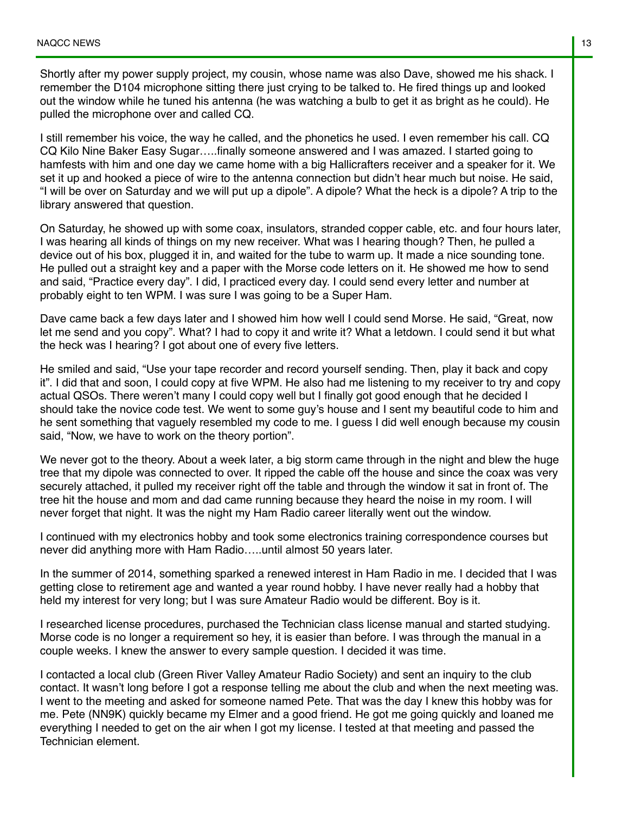Shortly after my power supply project, my cousin, whose name was also Dave, showed me his shack. I remember the D104 microphone sitting there just crying to be talked to. He fired things up and looked out the window while he tuned his antenna (he was watching a bulb to get it as bright as he could). He pulled the microphone over and called CQ.

I still remember his voice, the way he called, and the phonetics he used. I even remember his call. CQ CQ Kilo Nine Baker Easy Sugar…..finally someone answered and I was amazed. I started going to hamfests with him and one day we came home with a big Hallicrafters receiver and a speaker for it. We set it up and hooked a piece of wire to the antenna connection but didn't hear much but noise. He said, "I will be over on Saturday and we will put up a dipole". A dipole? What the heck is a dipole? A trip to the library answered that question.

On Saturday, he showed up with some coax, insulators, stranded copper cable, etc. and four hours later, I was hearing all kinds of things on my new receiver. What was I hearing though? Then, he pulled a device out of his box, plugged it in, and waited for the tube to warm up. It made a nice sounding tone. He pulled out a straight key and a paper with the Morse code letters on it. He showed me how to send and said, "Practice every day". I did, I practiced every day. I could send every letter and number at probably eight to ten WPM. I was sure I was going to be a Super Ham.

Dave came back a few days later and I showed him how well I could send Morse. He said, "Great, now let me send and you copy". What? I had to copy it and write it? What a letdown. I could send it but what the heck was I hearing? I got about one of every five letters.

He smiled and said, "Use your tape recorder and record yourself sending. Then, play it back and copy it". I did that and soon, I could copy at five WPM. He also had me listening to my receiver to try and copy actual QSOs. There weren't many I could copy well but I finally got good enough that he decided I should take the novice code test. We went to some guy's house and I sent my beautiful code to him and he sent something that vaguely resembled my code to me. I guess I did well enough because my cousin said, "Now, we have to work on the theory portion".

We never got to the theory. About a week later, a big storm came through in the night and blew the huge tree that my dipole was connected to over. It ripped the cable off the house and since the coax was very securely attached, it pulled my receiver right off the table and through the window it sat in front of. The tree hit the house and mom and dad came running because they heard the noise in my room. I will never forget that night. It was the night my Ham Radio career literally went out the window.

I continued with my electronics hobby and took some electronics training correspondence courses but never did anything more with Ham Radio…..until almost 50 years later.

In the summer of 2014, something sparked a renewed interest in Ham Radio in me. I decided that I was getting close to retirement age and wanted a year round hobby. I have never really had a hobby that held my interest for very long; but I was sure Amateur Radio would be different. Boy is it.

I researched license procedures, purchased the Technician class license manual and started studying. Morse code is no longer a requirement so hey, it is easier than before. I was through the manual in a couple weeks. I knew the answer to every sample question. I decided it was time.

I contacted a local club (Green River Valley Amateur Radio Society) and sent an inquiry to the club contact. It wasn't long before I got a response telling me about the club and when the next meeting was. I went to the meeting and asked for someone named Pete. That was the day I knew this hobby was for me. Pete (NN9K) quickly became my Elmer and a good friend. He got me going quickly and loaned me everything I needed to get on the air when I got my license. I tested at that meeting and passed the Technician element.